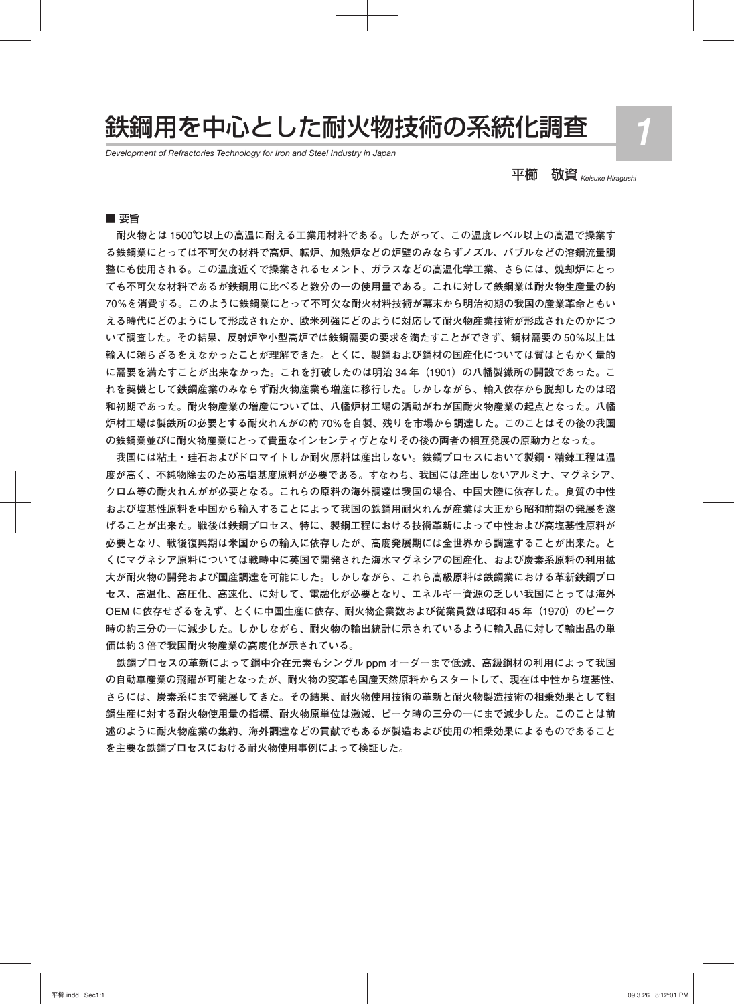# 鉄鋼用を中心とした耐火物技術の系統化調査 *1*

*Development of Refractories Technology for Iron and Steel Industry in Japan*

平櫛 敬資 *Keisuke Hiragushi*

#### ■ 要旨

 **耐火物とは 1500℃以上の高温に耐える工業用材料である。したがって、この温度レベル以上の高温で操業す る鉄鋼業にとっては不可欠の材料で高炉、転炉、加熱炉などの炉壁のみならずノズル、バブルなどの溶鋼流量調 整にも使用される。この温度近くで操業されるセメント、ガラスなどの高温化学工業、さらには、焼却炉にとっ ても不可欠な材料であるが鉄鋼用に比べると数分の一の使用量である。これに対して鉄鋼業は耐火物生産量の約 70%を消費する。このように鉄鋼業にとって不可欠な耐火材料技術が幕末から明治初期の我国の産業革命ともい える時代にどのようにして形成されたか、欧米列強にどのように対応して耐火物産業技術が形成されたのかにつ いて調査した。その結果、反射炉や小型高炉では鉄鋼需要の要求を満たすことができず、鋼材需要の 50%以上は 輸入に頼らざるをえなかったことが理解できた。とくに、製鋼および鋼材の国産化については質はともかく量的 に需要を満たすことが出来なかった。これを打破したのは明治 34 年(1901)の八幡製鐵所の開設であった。こ れを契機として鉄鋼産業のみならず耐火物産業も増産に移行した。しかしながら、輸入依存から脱却したのは昭 和初期であった。耐火物産業の増産については、八幡炉材工場の活動がわが国耐火物産業の起点となった。八幡 炉材工場は製鉄所の必要とする耐火れんがの約 70%を自製、残りを市場から調達した。このことはその後の我国 の鉄鋼業並びに耐火物産業にとって貴重なインセンティヴとなりその後の両者の相互発展の原動力となった。**

 **我国には粘土・珪石およびドロマイトしか耐火原料は産出しない。鉄鋼プロセスにおいて製鋼・精錬工程は温 度が高く、不純物除去のため高塩基度原料が必要である。すなわち、我国には産出しないアルミナ、マグネシア、 クロム等の耐火れんがが必要となる。これらの原料の海外調達は我国の場合、中国大陸に依存した。良質の中性 および塩基性原料を中国から輸入することによって我国の鉄鋼用耐火れんが産業は大正から昭和前期の発展を遂 げることが出来た。戦後は鉄鋼プロセス、特に、製鋼工程における技術革新によって中性および高塩基性原料が 必要となり、戦後復興期は米国からの輸入に依存したが、高度発展期には全世界から調達することが出来た。と くにマグネシア原料については戦時中に英国で開発された海水マグネシアの国産化、および炭素系原料の利用拡 大が耐火物の開発および国産調達を可能にした。しかしながら、これら高級原料は鉄鋼業における革新鉄鋼プロ セス、高温化、高圧化、高速化、に対して、電融化が必要となり、エネルギー資源の乏しい我国にとっては海外** OEM に依存せざるをえず、とくに中国生産に依存、耐火物企業数および従業員数は昭和45年 (1970)のピーク **時の約三分の一に減少した。しかしながら、耐火物の輸出統計に示されているように輸入品に対して輸出品の単 価は約 3 倍で我国耐火物産業の高度化が示されている。**

 **鉄鋼プロセスの革新によって鋼中介在元素もシングル ppm オーダーまで低減、高級鋼材の利用によって我国 の自動車産業の飛躍が可能となったが、耐火物の変革も国産天然原料からスタートして、現在は中性から塩基性、 さらには、炭素系にまで発展してきた。その結果、耐火物使用技術の革新と耐火物製造技術の相乗効果として粗 鋼生産に対する耐火物使用量の指標、耐火物原単位は激減、ピーク時の三分の一にまで減少した。このことは前 述のように耐火物産業の集約、海外調達などの貢献でもあるが製造および使用の相乗効果によるものであること を主要な鉄鋼プロセスにおける耐火物使用事例によって検証した。**